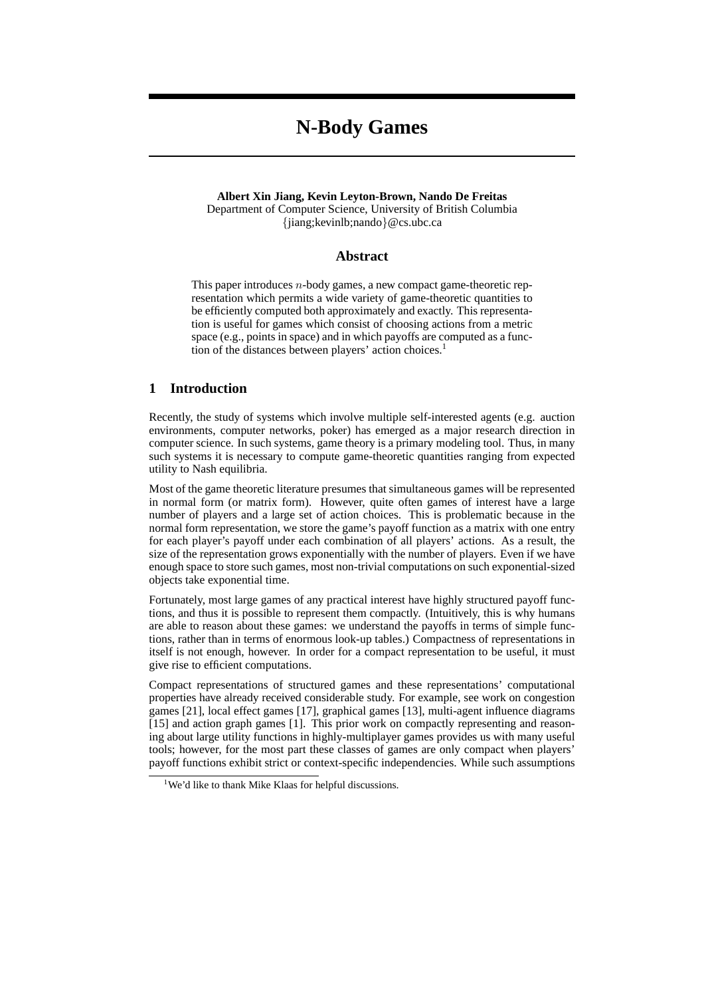# **N-Body Games**

## **Albert Xin Jiang, Kevin Leyton-Brown, Nando De Freitas** Department of Computer Science, University of British Columbia {jiang;kevinlb;nando}@cs.ubc.ca

# **Abstract**

This paper introduces  $n$ -body games, a new compact game-theoretic representation which permits a wide variety of game-theoretic quantities to be efficiently computed both approximately and exactly. This representation is useful for games which consist of choosing actions from a metric space (e.g., points in space) and in which payoffs are computed as a function of the distances between players' action choices.<sup>1</sup>

# **1 Introduction**

Recently, the study of systems which involve multiple self-interested agents (e.g. auction environments, computer networks, poker) has emerged as a major research direction in computer science. In such systems, game theory is a primary modeling tool. Thus, in many such systems it is necessary to compute game-theoretic quantities ranging from expected utility to Nash equilibria.

Most of the game theoretic literature presumes that simultaneous games will be represented in normal form (or matrix form). However, quite often games of interest have a large number of players and a large set of action choices. This is problematic because in the normal form representation, we store the game's payoff function as a matrix with one entry for each player's payoff under each combination of all players' actions. As a result, the size of the representation grows exponentially with the number of players. Even if we have enough space to store such games, most non-trivial computations on such exponential-sized objects take exponential time.

Fortunately, most large games of any practical interest have highly structured payoff functions, and thus it is possible to represent them compactly. (Intuitively, this is why humans are able to reason about these games: we understand the payoffs in terms of simple functions, rather than in terms of enormous look-up tables.) Compactness of representations in itself is not enough, however. In order for a compact representation to be useful, it must give rise to efficient computations.

Compact representations of structured games and these representations' computational properties have already received considerable study. For example, see work on congestion games [21], local effect games [17], graphical games [13], multi-agent influence diagrams [15] and action graph games [1]. This prior work on compactly representing and reasoning about large utility functions in highly-multiplayer games provides us with many useful tools; however, for the most part these classes of games are only compact when players' payoff functions exhibit strict or context-specific independencies. While such assumptions

<sup>&</sup>lt;sup>1</sup>We'd like to thank Mike Klaas for helpful discussions.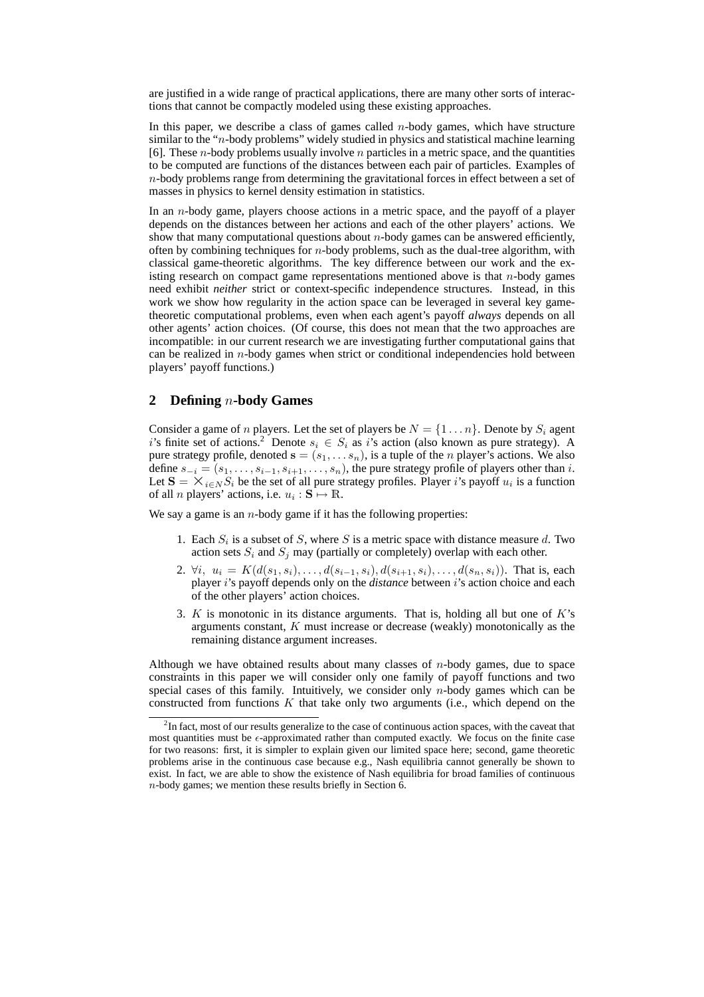are justified in a wide range of practical applications, there are many other sorts of interactions that cannot be compactly modeled using these existing approaches.

In this paper, we describe a class of games called  $n$ -body games, which have structure similar to the "n-body problems" widely studied in physics and statistical machine learning [6]. These *n*-body problems usually involve *n* particles in a metric space, and the quantities to be computed are functions of the distances between each pair of particles. Examples of  $n$ -body problems range from determining the gravitational forces in effect between a set of masses in physics to kernel density estimation in statistics.

In an n-body game, players choose actions in a metric space, and the payoff of a player depends on the distances between her actions and each of the other players' actions. We show that many computational questions about  $n$ -body games can be answered efficiently, often by combining techniques for  $n$ -body problems, such as the dual-tree algorithm, with classical game-theoretic algorithms. The key difference between our work and the existing research on compact game representations mentioned above is that n-body games need exhibit *neither* strict or context-specific independence structures. Instead, in this work we show how regularity in the action space can be leveraged in several key gametheoretic computational problems, even when each agent's payoff *always* depends on all other agents' action choices. (Of course, this does not mean that the two approaches are incompatible: in our current research we are investigating further computational gains that can be realized in  $n$ -body games when strict or conditional independencies hold between players' payoff functions.)

# **2 Defining** n**-body Games**

Consider a game of *n* players. Let the set of players be  $N = \{1 \dots n\}$ . Denote by  $S_i$  agent i's finite set of actions.<sup>2</sup> Denote  $s_i \in S_i$  as i's action (also known as pure strategy). A pure strategy profile, denoted  $\mathbf{s} = (s_1, \dots s_n)$ , is a tuple of the *n* player's actions. We also define  $s_{-i} = (s_1, \ldots, s_{i-1}, s_{i+1}, \ldots, s_n)$ , the pure strategy profile of players other than i. Let  $S = \times_{i \in N} S_i$  be the set of all pure strategy profiles. Player i's payoff  $u_i$  is a function of all *n* players' actions, i.e.  $u_i : \mathbf{S} \mapsto \mathbb{R}$ .

We say a game is an  $n$ -body game if it has the following properties:

- 1. Each  $S_i$  is a subset of S, where S is a metric space with distance measure d. Two action sets  $S_i$  and  $S_j$  may (partially or completely) overlap with each other.
- 2.  $\forall i, u_i = K(d(s_1, s_i), \ldots, d(s_{i-1}, s_i), d(s_{i+1}, s_i), \ldots, d(s_n, s_i)).$  That is, each player *i*'s payoff depends only on the *distance* between *i*'s action choice and each of the other players' action choices.
- 3.  $K$  is monotonic in its distance arguments. That is, holding all but one of  $K$ 's arguments constant, K must increase or decrease (weakly) monotonically as the remaining distance argument increases.

Although we have obtained results about many classes of  $n$ -body games, due to space constraints in this paper we will consider only one family of payoff functions and two special cases of this family. Intuitively, we consider only  $n$ -body games which can be constructed from functions  $K$  that take only two arguments (i.e., which depend on the

 $2$ In fact, most of our results generalize to the case of continuous action spaces, with the caveat that most quantities must be  $\epsilon$ -approximated rather than computed exactly. We focus on the finite case for two reasons: first, it is simpler to explain given our limited space here; second, game theoretic problems arise in the continuous case because e.g., Nash equilibria cannot generally be shown to exist. In fact, we are able to show the existence of Nash equilibria for broad families of continuous n-body games; we mention these results briefly in Section 6.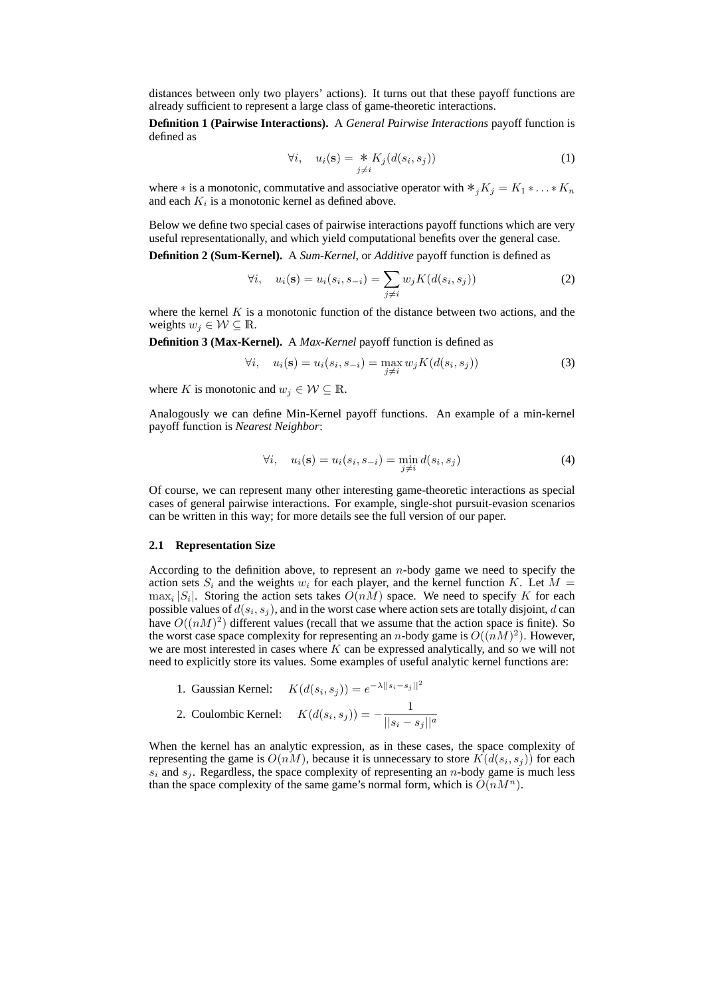distances between only two players' actions). It turns out that these payoff functions are already sufficient to represent a large class of game-theoretic interactions.

**Definition 1 (Pairwise Interactions).** A *General Pairwise Interactions* payoff function is defined as

$$
\forall i, \quad u_i(\mathbf{s}) = \underset{j \neq i}{\ast} K_j(d(s_i, s_j)) \tag{1}
$$

where  $*$  is a monotonic, commutative and associative operator with  $*_{i}K_{j} = K_{1} * ... * K_{n}$ and each  $K_i$  is a monotonic kernel as defined above.

Below we define two special cases of pairwise interactions payoff functions which are very useful representationally, and which yield computational benefits over the general case.

**Definition 2 (Sum-Kernel).** A *Sum-Kernel*, or *Additive* payoff function is defined as

$$
\forall i, \quad u_i(\mathbf{s}) = u_i(s_i, s_{-i}) = \sum_{j \neq i} w_j K(d(s_i, s_j))
$$
 (2)

where the kernel  $K$  is a monotonic function of the distance between two actions, and the weights  $w_j \in \mathcal{W} \subseteq \mathbb{R}$ .

**Definition 3 (Max-Kernel).** A *Max-Kernel* payoff function is defined as

$$
\forall i, \quad u_i(\mathbf{s}) = u_i(s_i, s_{-i}) = \max_{j \neq i} w_j K(d(s_i, s_j)) \tag{3}
$$

where K is monotonic and  $w_j \in \mathcal{W} \subseteq \mathbb{R}$ .

Analogously we can define Min-Kernel payoff functions. An example of a min-kernel payoff function is *Nearest Neighbor*:

$$
\forall i, \quad u_i(\mathbf{s}) = u_i(s_i, s_{-i}) = \min_{j \neq i} d(s_i, s_j)
$$
 (4)

Of course, we can represent many other interesting game-theoretic interactions as special cases of general pairwise interactions. For example, single-shot pursuit-evasion scenarios can be written in this way; for more details see the full version of our paper.

## **2.1 Representation Size**

According to the definition above, to represent an  $n$ -body game we need to specify the action sets  $S_i$  and the weights  $w_i$  for each player, and the kernel function K. Let  $M =$  $\max_i |S_i|$ . Storing the action sets takes  $O(nM)$  space. We need to specify K for each possible values of  $d(s_i, s_j)$ , and in the worst case where action sets are totally disjoint, d can have  $O((nM)^2)$  different values (recall that we assume that the action space is finite). So the worst case space complexity for representing an *n*-body game is  $O((nM)^2)$ . However, we are most interested in cases where  $K$  can be expressed analytically, and so we will not need to explicitly store its values. Some examples of useful analytic kernel functions are:

1. Gaussian Kernel:  $K(d(s_i, s_j)) = e^{-\lambda ||s_i - s_j||^2}$ 

2. Coulombic Kernel: 
$$
K(d(s_i, s_j)) = -\frac{1}{||s_i - s_j||^a}
$$

When the kernel has an analytic expression, as in these cases, the space complexity of representing the game is  $O(nM)$ , because it is unnecessary to store  $K(d(s_i, s_j))$  for each  $s_i$  and  $s_j$ . Regardless, the space complexity of representing an *n*-body game is much less than the space complexity of the same game's normal form, which is  $O(nM^n)$ .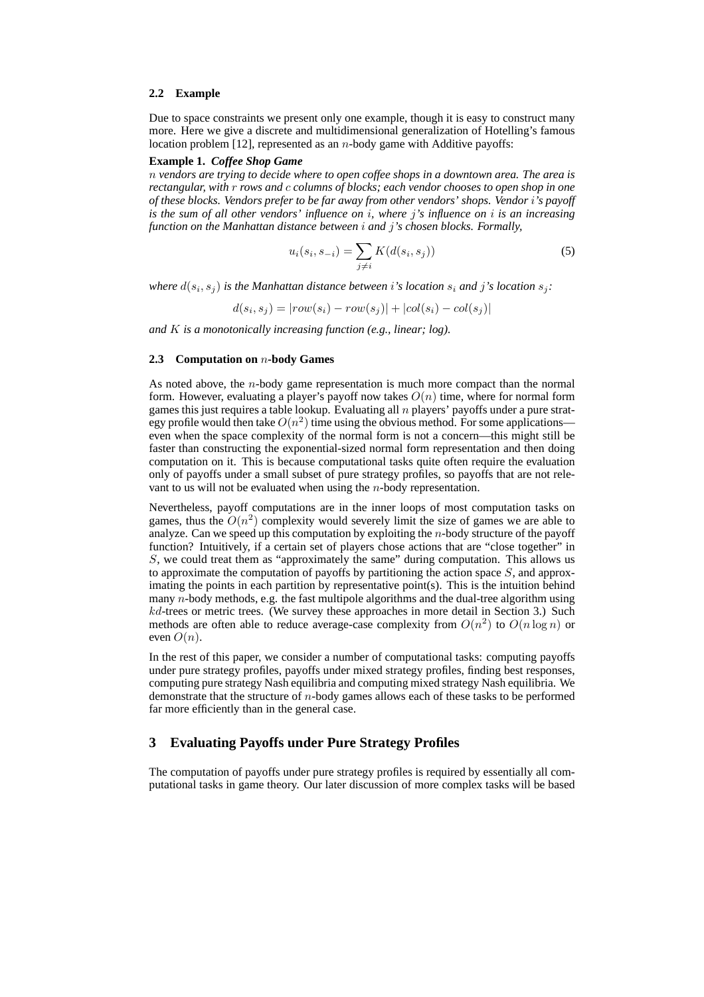#### **2.2 Example**

Due to space constraints we present only one example, though it is easy to construct many more. Here we give a discrete and multidimensional generalization of Hotelling's famous location problem  $[12]$ , represented as an *n*-body game with Additive payoffs:

## **Example 1.** *Coffee Shop Game*

n *vendors are trying to decide where to open coffee shops in a downtown area. The area is rectangular, with* r *rows and* c *columns of blocks; each vendor chooses to open shop in one of these blocks. Vendors prefer to be far away from other vendors' shops. Vendor* i*'s payoff is the sum of all other vendors' influence on* i*, where* j*'s influence on* i *is an increasing function on the Manhattan distance between* i *and* j*'s chosen blocks. Formally,*

$$
u_i(s_i, s_{-i}) = \sum_{j \neq i} K(d(s_i, s_j))
$$
\n(5)

where  $d(s_i, s_j)$  is the Manhattan distance between i's location  $s_i$  and j's location  $s_j$ :

 $d(s_i, s_j) = |row(s_i) - row(s_j)| + |col(s_i) - col(s_j)|$ 

*and* K *is a monotonically increasing function (e.g., linear; log).*

### **2.3 Computation on** n**-body Games**

As noted above, the n-body game representation is much more compact than the normal form. However, evaluating a player's payoff now takes  $O(n)$  time, where for normal form games this just requires a table lookup. Evaluating all  $n$  players' payoffs under a pure strategy profile would then take  $O(n^2)$  time using the obvious method. For some applications even when the space complexity of the normal form is not a concern—this might still be faster than constructing the exponential-sized normal form representation and then doing computation on it. This is because computational tasks quite often require the evaluation only of payoffs under a small subset of pure strategy profiles, so payoffs that are not relevant to us will not be evaluated when using the n-body representation.

Nevertheless, payoff computations are in the inner loops of most computation tasks on games, thus the  $O(n^2)$  complexity would severely limit the size of games we are able to analyze. Can we speed up this computation by exploiting the n-body structure of the payoff function? Intuitively, if a certain set of players chose actions that are "close together" in S, we could treat them as "approximately the same" during computation. This allows us to approximate the computation of payoffs by partitioning the action space  $S$ , and approximating the points in each partition by representative point(s). This is the intuition behind many n-body methods, e.g. the fast multipole algorithms and the dual-tree algorithm using  $kd$ -trees or metric trees. (We survey these approaches in more detail in Section 3.) Such methods are often able to reduce average-case complexity from  $O(n^2)$  to  $O(n \log n)$  or even  $O(n)$ .

In the rest of this paper, we consider a number of computational tasks: computing payoffs under pure strategy profiles, payoffs under mixed strategy profiles, finding best responses, computing pure strategy Nash equilibria and computing mixed strategy Nash equilibria. We demonstrate that the structure of n-body games allows each of these tasks to be performed far more efficiently than in the general case.

## **3 Evaluating Payoffs under Pure Strategy Profiles**

The computation of payoffs under pure strategy profiles is required by essentially all computational tasks in game theory. Our later discussion of more complex tasks will be based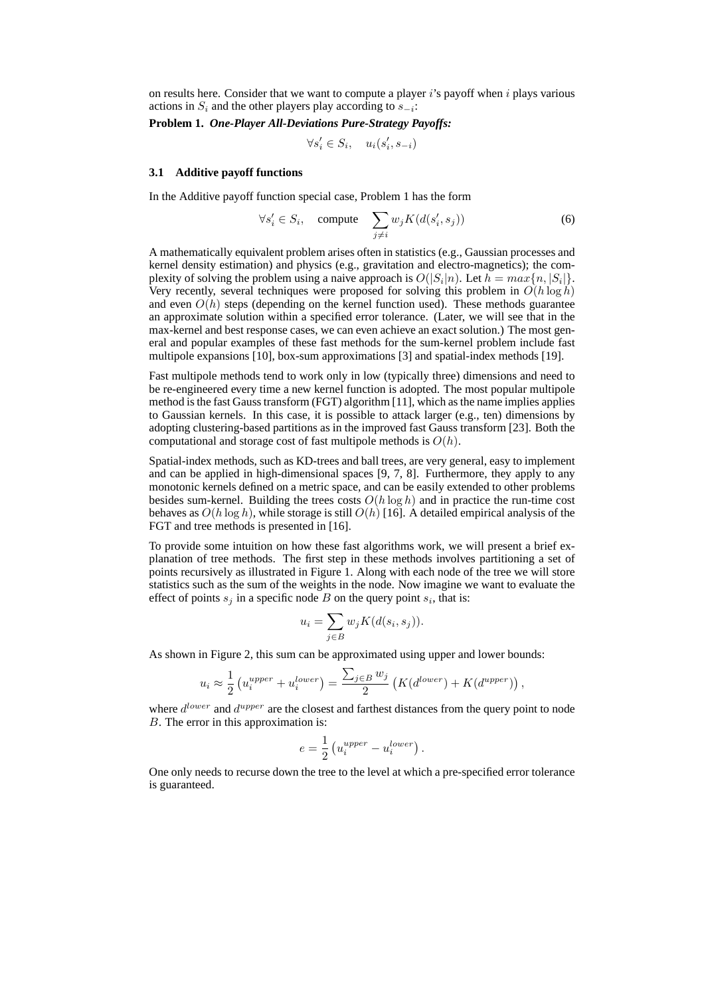on results here. Consider that we want to compute a player  $i$ 's payoff when  $i$  plays various actions in  $S_i$  and the other players play according to  $s_{-i}$ :

**Problem 1.** *One-Player All-Deviations Pure-Strategy Payoffs:*

$$
\forall s_i' \in S_i, \quad u_i(s_i', s_{-i})
$$

#### **3.1 Additive payoff functions**

In the Additive payoff function special case, Problem 1 has the form

$$
\forall s_i' \in S_i, \quad \text{compute} \quad \sum_{j \neq i} w_j K(d(s_i', s_j)) \tag{6}
$$

A mathematically equivalent problem arises often in statistics (e.g., Gaussian processes and kernel density estimation) and physics (e.g., gravitation and electro-magnetics); the complexity of solving the problem using a naive approach is  $O(|S_i|n)$ . Let  $h = max\{n, |S_i|\}$ . Very recently, several techniques were proposed for solving this problem in  $O(h \log h)$ and even  $O(h)$  steps (depending on the kernel function used). These methods guarantee an approximate solution within a specified error tolerance. (Later, we will see that in the max-kernel and best response cases, we can even achieve an exact solution.) The most general and popular examples of these fast methods for the sum-kernel problem include fast multipole expansions [10], box-sum approximations [3] and spatial-index methods [19].

Fast multipole methods tend to work only in low (typically three) dimensions and need to be re-engineered every time a new kernel function is adopted. The most popular multipole method is the fast Gauss transform (FGT) algorithm [11], which as the name implies applies to Gaussian kernels. In this case, it is possible to attack larger (e.g., ten) dimensions by adopting clustering-based partitions as in the improved fast Gauss transform [23]. Both the computational and storage cost of fast multipole methods is  $O(h)$ .

Spatial-index methods, such as KD-trees and ball trees, are very general, easy to implement and can be applied in high-dimensional spaces [9, 7, 8]. Furthermore, they apply to any monotonic kernels defined on a metric space, and can be easily extended to other problems besides sum-kernel. Building the trees costs  $O(h \log h)$  and in practice the run-time cost behaves as  $O(h \log h)$ , while storage is still  $O(h)$  [16]. A detailed empirical analysis of the FGT and tree methods is presented in [16].

To provide some intuition on how these fast algorithms work, we will present a brief explanation of tree methods. The first step in these methods involves partitioning a set of points recursively as illustrated in Figure 1. Along with each node of the tree we will store statistics such as the sum of the weights in the node. Now imagine we want to evaluate the effect of points  $s_j$  in a specific node B on the query point  $s_i$ , that is:

$$
u_i = \sum_{j \in B} w_j K(d(s_i, s_j)).
$$

As shown in Figure 2, this sum can be approximated using upper and lower bounds:

$$
u_i \approx \frac{1}{2} \left( u_i^{upper} + u_i^{lower} \right) = \frac{\sum_{j \in B} w_j}{2} \left( K(d^{lower}) + K(d^{upper}) \right)
$$

,

where  $d^{lower}$  and  $d^{upper}$  are the closest and farthest distances from the query point to node B. The error in this approximation is:

$$
e = \frac{1}{2} \left( u_i^{upper} - u_i^{lower} \right).
$$

One only needs to recurse down the tree to the level at which a pre-specified error tolerance is guaranteed.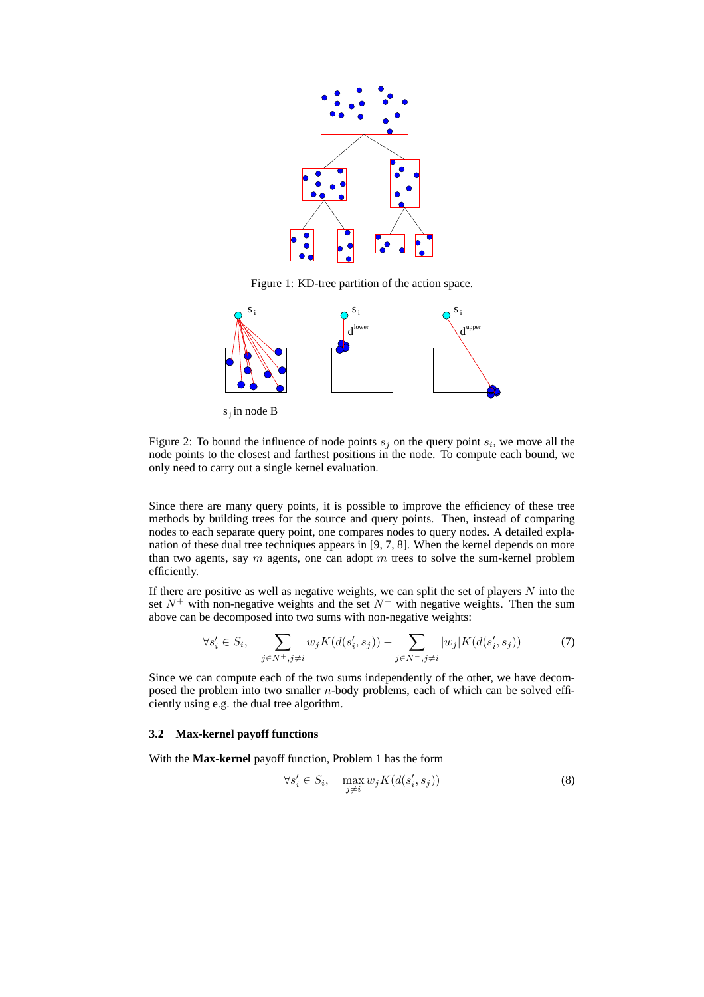

Figure 1: KD-tree partition of the action space.



 $s_i$  in node B

Figure 2: To bound the influence of node points  $s_j$  on the query point  $s_i$ , we move all the node points to the closest and farthest positions in the node. To compute each bound, we only need to carry out a single kernel evaluation.

Since there are many query points, it is possible to improve the efficiency of these tree methods by building trees for the source and query points. Then, instead of comparing nodes to each separate query point, one compares nodes to query nodes. A detailed explanation of these dual tree techniques appears in [9, 7, 8]. When the kernel depends on more than two agents, say  $m$  agents, one can adopt  $m$  trees to solve the sum-kernel problem efficiently.

If there are positive as well as negative weights, we can split the set of players  $N$  into the set  $N^+$  with non-negative weights and the set  $N^-$  with negative weights. Then the sum above can be decomposed into two sums with non-negative weights:

$$
\forall s_i' \in S_i, \quad \sum_{j \in N^+, j \neq i} w_j K(d(s_i', s_j)) - \sum_{j \in N^-, j \neq i} |w_j| K(d(s_i', s_j)) \tag{7}
$$

Since we can compute each of the two sums independently of the other, we have decomposed the problem into two smaller  $n$ -body problems, each of which can be solved efficiently using e.g. the dual tree algorithm.

## **3.2 Max-kernel payoff functions**

With the **Max-kernel** payoff function, Problem 1 has the form

$$
\forall s_i' \in S_i, \quad \max_{j \neq i} w_j K(d(s_i', s_j)) \tag{8}
$$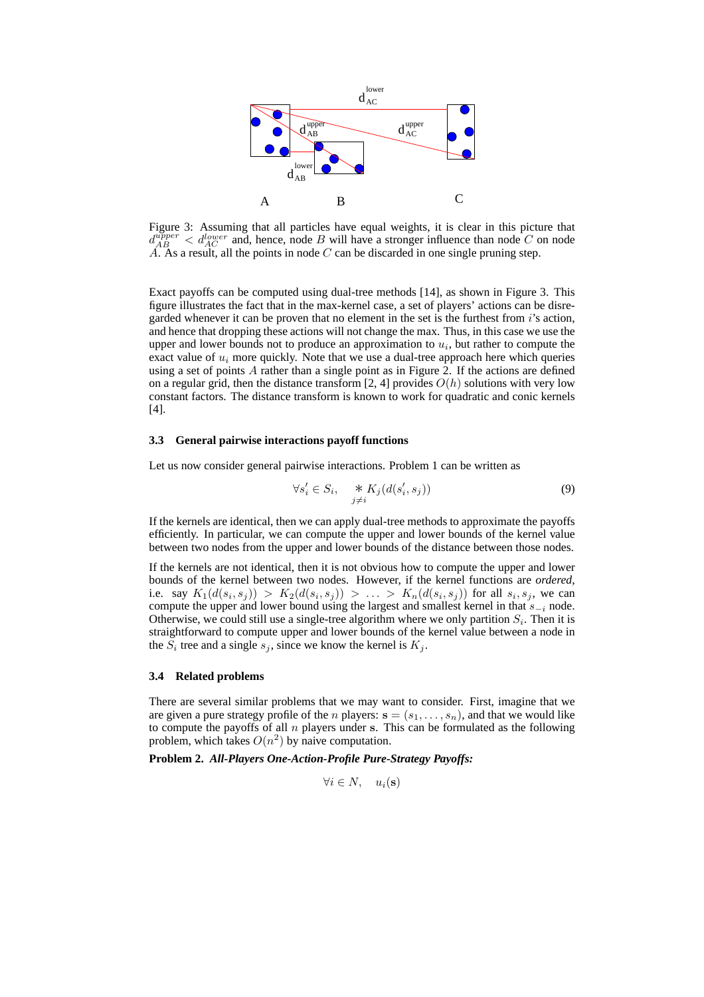

Figure 3: Assuming that all particles have equal weights, it is clear in this picture that  $d_{AB}^{upper} < d_{AC}^{lower}$  and, hence, node B will have a stronger influence than node C on node  $\widetilde{A}$ . As a result, all the points in node C can be discarded in one single pruning step.

Exact payoffs can be computed using dual-tree methods [14], as shown in Figure 3. This figure illustrates the fact that in the max-kernel case, a set of players' actions can be disregarded whenever it can be proven that no element in the set is the furthest from  $i$ 's action, and hence that dropping these actions will not change the max. Thus, in this case we use the upper and lower bounds not to produce an approximation to  $u_i$ , but rather to compute the exact value of  $u_i$  more quickly. Note that we use a dual-tree approach here which queries using a set of points A rather than a single point as in Figure 2. If the actions are defined on a regular grid, then the distance transform [2, 4] provides  $O(h)$  solutions with very low constant factors. The distance transform is known to work for quadratic and conic kernels [4].

#### **3.3 General pairwise interactions payoff functions**

Let us now consider general pairwise interactions. Problem 1 can be written as

$$
\forall s_i' \in S_i, \quad *K_j(d(s_i', s_j))
$$
\n
$$
(9)
$$

If the kernels are identical, then we can apply dual-tree methods to approximate the payoffs efficiently. In particular, we can compute the upper and lower bounds of the kernel value between two nodes from the upper and lower bounds of the distance between those nodes.

If the kernels are not identical, then it is not obvious how to compute the upper and lower bounds of the kernel between two nodes. However, if the kernel functions are *ordered*, i.e. say  $K_1(d(s_i, s_j)) > K_2(d(s_i, s_j)) > \ldots > K_n(d(s_i, s_j))$  for all  $s_i, s_j$ , we can compute the upper and lower bound using the largest and smallest kernel in that  $s_{-i}$  node. Otherwise, we could still use a single-tree algorithm where we only partition  $S_i$ . Then it is straightforward to compute upper and lower bounds of the kernel value between a node in the  $S_i$  tree and a single  $s_j$ , since we know the kernel is  $K_j$ .

## **3.4 Related problems**

There are several similar problems that we may want to consider. First, imagine that we are given a pure strategy profile of the *n* players:  $\mathbf{s} = (s_1, \ldots, s_n)$ , and that we would like to compute the payoffs of all  $n$  players under s. This can be formulated as the following problem, which takes  $O(n^2)$  by naive computation.

**Problem 2.** *All-Players One-Action-Profile Pure-Strategy Payoffs:*

$$
\forall i \in N, \quad u_i(\mathbf{s})
$$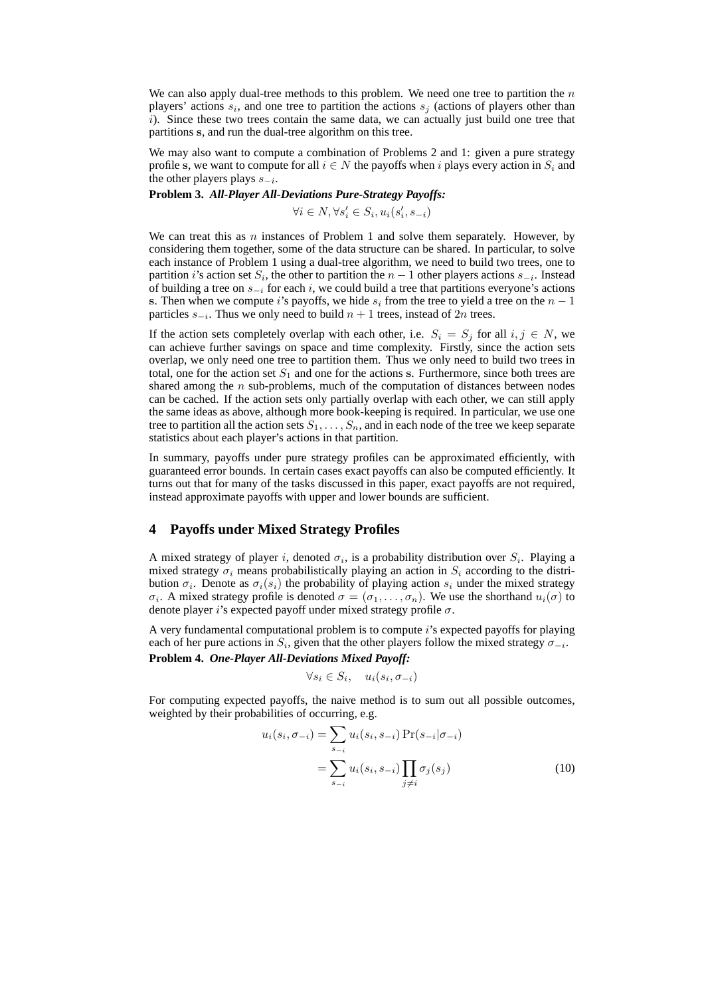We can also apply dual-tree methods to this problem. We need one tree to partition the  $n$ players' actions  $s_i$ , and one tree to partition the actions  $s_j$  (actions of players other than i). Since these two trees contain the same data, we can actually just build one tree that partitions s, and run the dual-tree algorithm on this tree.

We may also want to compute a combination of Problems 2 and 1: given a pure strategy profile s, we want to compute for all  $i \in N$  the payoffs when i plays every action in  $S_i$  and the other players plays  $s_{-i}$ .

## **Problem 3.** *All-Player All-Deviations Pure-Strategy Payoffs:*

 $\forall i \in N, \forall s_i' \in S_i, u_i(s_i', s_{-i})$ 

We can treat this as  $n$  instances of Problem 1 and solve them separately. However, by considering them together, some of the data structure can be shared. In particular, to solve each instance of Problem 1 using a dual-tree algorithm, we need to build two trees, one to partition *i*'s action set  $S_i$ , the other to partition the  $n-1$  other players actions  $s_{-i}$ . Instead of building a tree on  $s_{-i}$  for each i, we could build a tree that partitions everyone's actions s. Then when we compute i's payoffs, we hide  $s_i$  from the tree to yield a tree on the  $n-1$ particles  $s_{-i}$ . Thus we only need to build  $n + 1$  trees, instead of  $2n$  trees.

If the action sets completely overlap with each other, i.e.  $S_i = S_j$  for all  $i, j \in N$ , we can achieve further savings on space and time complexity. Firstly, since the action sets overlap, we only need one tree to partition them. Thus we only need to build two trees in total, one for the action set  $S_1$  and one for the actions s. Furthermore, since both trees are shared among the  $n$  sub-problems, much of the computation of distances between nodes can be cached. If the action sets only partially overlap with each other, we can still apply the same ideas as above, although more book-keeping is required. In particular, we use one tree to partition all the action sets  $S_1, \ldots, S_n$ , and in each node of the tree we keep separate statistics about each player's actions in that partition.

In summary, payoffs under pure strategy profiles can be approximated efficiently, with guaranteed error bounds. In certain cases exact payoffs can also be computed efficiently. It turns out that for many of the tasks discussed in this paper, exact payoffs are not required, instead approximate payoffs with upper and lower bounds are sufficient.

# **4 Payoffs under Mixed Strategy Profiles**

A mixed strategy of player i, denoted  $\sigma_i$ , is a probability distribution over  $S_i$ . Playing a mixed strategy  $\sigma_i$  means probabilistically playing an action in  $S_i$  according to the distribution  $\sigma_i$ . Denote as  $\sigma_i(s_i)$  the probability of playing action  $s_i$  under the mixed strategy  $\sigma_i$ . A mixed strategy profile is denoted  $\sigma = (\sigma_1, \ldots, \sigma_n)$ . We use the shorthand  $u_i(\sigma)$  to denote player i's expected payoff under mixed strategy profile  $\sigma$ .

A very fundamental computational problem is to compute i's expected payoffs for playing each of her pure actions in  $S_i$ , given that the other players follow the mixed strategy  $\sigma_{-i}$ .

**Problem 4.** *One-Player All-Deviations Mixed Payoff:*

$$
\forall s_i \in S_i, \quad u_i(s_i, \sigma_{-i})
$$

For computing expected payoffs, the naive method is to sum out all possible outcomes, weighted by their probabilities of occurring, e.g.

$$
u_i(s_i, \sigma_{-i}) = \sum_{s=i} u_i(s_i, s_{-i}) \Pr(s_{-i}|\sigma_{-i})
$$

$$
= \sum_{s=i} u_i(s_i, s_{-i}) \prod_{j \neq i} \sigma_j(s_j)
$$
(10)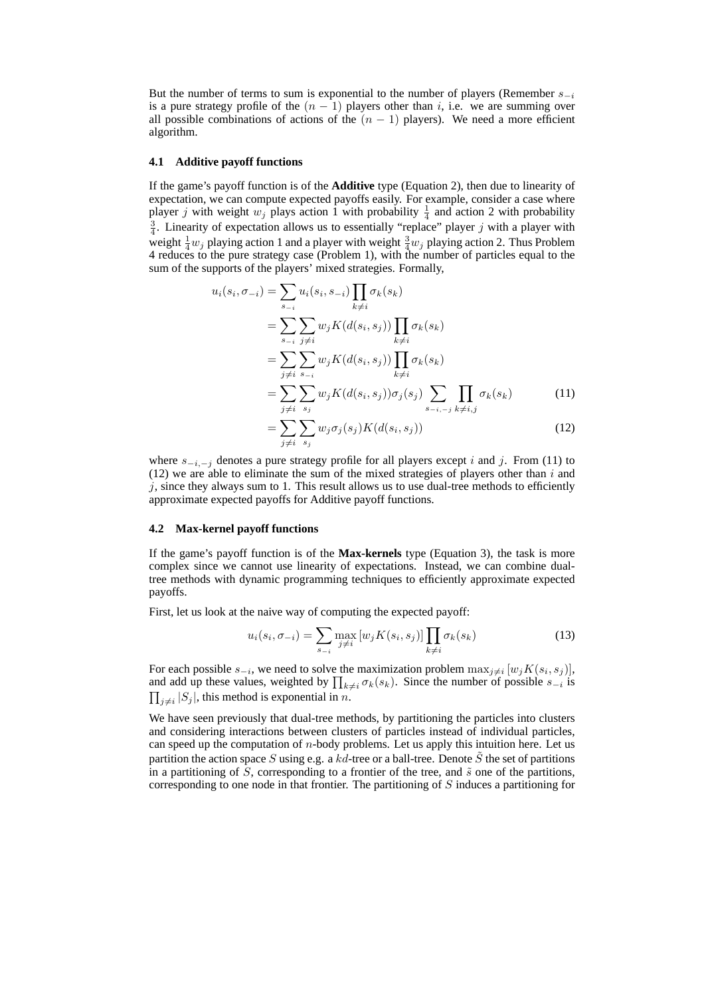But the number of terms to sum is exponential to the number of players (Remember  $s_{-i}$ ) is a pure strategy profile of the  $(n - 1)$  players other than i, i.e. we are summing over all possible combinations of actions of the  $(n - 1)$  players). We need a more efficient algorithm.

#### **4.1 Additive payoff functions**

If the game's payoff function is of the **Additive** type (Equation 2), then due to linearity of expectation, we can compute expected payoffs easily. For example, consider a case where player *j* with weight  $w_j$  plays action 1 with probability  $\frac{1}{4}$  and action 2 with probability  $\frac{3}{4}$ . Linearity of expectation allows us to essentially "replace" player j with a player with weight  $\frac{1}{4}w_j$  playing action 1 and a player with weight  $\frac{3}{4}w_j$  playing action 2. Thus Problem 4 reduces to the pure strategy case (Problem 1), with the number of particles equal to the sum of the supports of the players' mixed strategies. Formally,

$$
u_i(s_i, \sigma_{-i}) = \sum_{s_{-i}} u_i(s_i, s_{-i}) \prod_{k \neq i} \sigma_k(s_k)
$$
  
\n
$$
= \sum_{s_{-i}} \sum_{j \neq i} w_j K(d(s_i, s_j)) \prod_{k \neq i} \sigma_k(s_k)
$$
  
\n
$$
= \sum_{j \neq i} \sum_{s_{-i}} w_j K(d(s_i, s_j)) \prod_{k \neq i} \sigma_k(s_k)
$$
  
\n
$$
= \sum_{j \neq i} \sum_{s_j} w_j K(d(s_i, s_j)) \sigma_j(s_j) \sum_{s_{-i, -j}} \prod_{k \neq i, j} \sigma_k(s_k)
$$
(11)  
\n
$$
= \sum_{j} \sum_{s_j} w_j \sigma_j(s_j) K(d(s_i, s_j))
$$

$$
-\sum_{j\neq i}\sum_{s_j} w_j \sigma_j \sigma_j \mu_1(\alpha(s_i, s_j))
$$
\n
$$
= \sum_{j\neq i} \sum_{s_j} w_j \sigma_j \sigma_j \mu_1(\alpha(s_i, s_j))
$$
\nentotes a pure strategy profile for all players except *i* and *j*. From (11) to

where  $s_{-i,-i}$  d  $(12)$  we are able to eliminate the sum of the mixed strategies of players other than i and  $j$ , since they always sum to 1. This result allows us to use dual-tree methods to efficiently approximate expected payoffs for Additive payoff functions.

#### **4.2 Max-kernel payoff functions**

If the game's payoff function is of the **Max-kernels** type (Equation 3), the task is more complex since we cannot use linearity of expectations. Instead, we can combine dualtree methods with dynamic programming techniques to efficiently approximate expected payoffs.

First, let us look at the naive way of computing the expected payoff:

$$
u_i(s_i, \sigma_{-i}) = \sum_{s_{-i}} \max_{j \neq i} [w_j K(s_i, s_j)] \prod_{k \neq i} \sigma_k(s_k)
$$
 (13)

For each possible  $s_{-i}$ , we need to solve the maximization problem  $\max_{j\neq i} [w_j K(s_i, s_j)],$ For each possible  $s_{-i}$ , we need to solve the maximization problem  $\max_{j\neq i} |w_j K(s_i, s_j)|$ ,<br>and add up these values, weighted by  $\prod_{k\neq i} \sigma_k(s_k)$ . Since the number of possible  $s_{-i}$  is  $_{j\neq i}|S_j|$ , this method is exponential in n.

We have seen previously that dual-tree methods, by partitioning the particles into clusters and considering interactions between clusters of particles instead of individual particles, can speed up the computation of n-body problems. Let us apply this intuition here. Let us partition the action space S using e.g. a kd-tree or a ball-tree. Denote  $\tilde{S}$  the set of partitions in a partitioning of  $\tilde{S}$ , corresponding to a frontier of the tree, and  $\tilde{s}$  one of the partitions, corresponding to one node in that frontier. The partitioning of  $S$  induces a partitioning for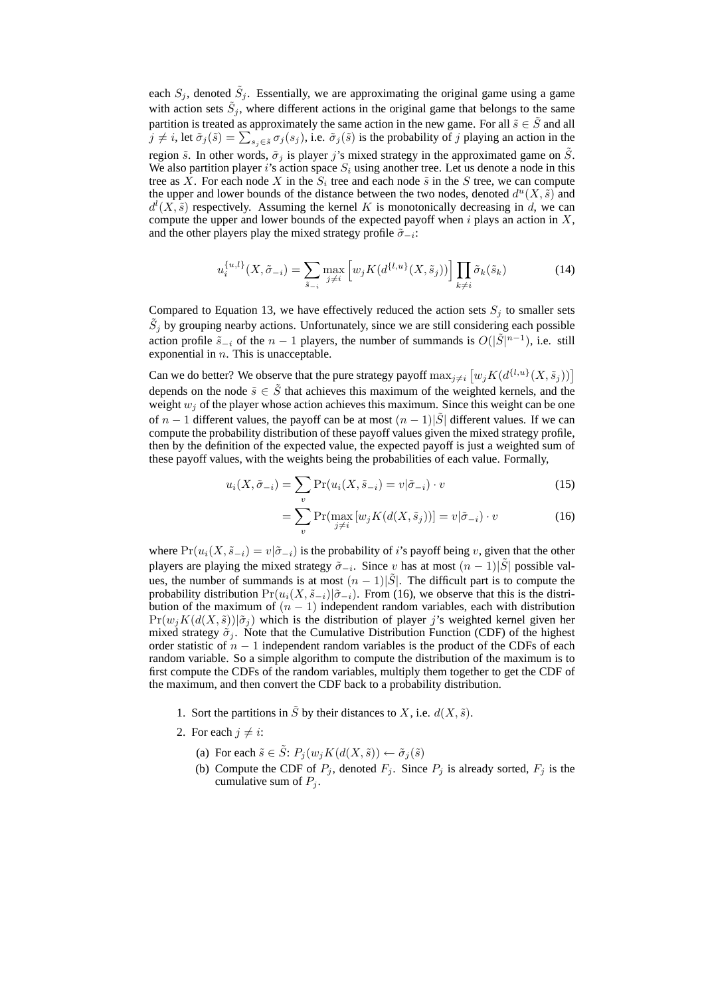each  $S_j$ , denoted  $\tilde{S}_j$ . Essentially, we are approximating the original game using a game with action sets  $\tilde{S}_j$ , where different actions in the original game that belongs to the same partition is treated as approximately the same action in the new game. For all  $\tilde{s} \in \tilde{S}$  and all partition is treated as approximately the same action in the new game. For all  $s \in S$  and all  $j \neq i$ , let  $\tilde{\sigma}_j(\tilde{s}) = \sum_{s_j \in \tilde{s}} \sigma_j(s_j)$ , i.e.  $\tilde{\sigma}_j(\tilde{s})$  is the probability of j playing an action in the region  $\tilde{s}$ . In other words,  $\tilde{\sigma}_i$  is player j's mixed strategy in the approximated game on  $\tilde{S}$ . We also partition player i's action space  $S_i$  using another tree. Let us denote a node in this tree as X. For each node X in the  $S_i$  tree and each node  $\tilde{s}$  in the S tree, we can compute the upper and lower bounds of the distance between the two nodes, denoted  $d^u(X, \tilde{s})$  and  $d^l(X, \tilde{s})$  respectively. Assuming the kernel K is monotonically decreasing in d, we can compute the upper and lower bounds of the expected payoff when  $i$  plays an action in  $X$ , and the other players play the mixed strategy profile  $\tilde{\sigma}_{-i}$ :

$$
u_i^{\{u,l\}}(X,\tilde{\sigma}_{-i}) = \sum_{\tilde{s}_{-i}} \max_{j \neq i} \left[ w_j K(d^{\{l,u\}}(X,\tilde{s}_j)) \right] \prod_{k \neq i} \tilde{\sigma}_k(\tilde{s}_k)
$$
(14)

Compared to Equation 13, we have effectively reduced the action sets  $S_i$  to smaller sets  $\tilde{S}_j$  by grouping nearby actions. Unfortunately, since we are still considering each possible action profile  $\tilde{s}_{-i}$  of the  $n-1$  players, the number of summands is  $O(|\tilde{S}|^{n-1})$ , i.e. still exponential in  $n$ . This is unacceptable. £

Can we do better? We observe that the pure strategy payoff  $\max_{j\neq i}$  $w_j K(d^{\{l,u\}}(X, \tilde{s}_j))]$ depends on the node  $\tilde{s} \in \tilde{S}$  that achieves this maximum of the weighted kernels, and the weight  $w_j$  of the player whose action achieves this maximum. Since this weight can be one of  $n-1$  different values, the payoff can be at most  $(n-1)|\tilde{S}|$  different values. If we can compute the probability distribution of these payoff values given the mixed strategy profile, then by the definition of the expected value, the expected payoff is just a weighted sum of these payoff values, with the weights being the probabilities of each value. Formally,

$$
u_i(X, \tilde{\sigma}_{-i}) = \sum_v \Pr(u_i(X, \tilde{s}_{-i}) = v | \tilde{\sigma}_{-i}) \cdot v \tag{15}
$$

$$
= \sum_{v}^{v} \Pr(\max_{j \neq i} \left[ w_j K(d(X, \tilde{s}_j)) \right] = v | \tilde{\sigma}_{-i}) \cdot v \tag{16}
$$

where  $Pr(u_i(X, \tilde{s}_{-i}) = v | \tilde{\sigma}_{-i})$  is the probability of i's payoff being v, given that the other players are playing the mixed strategy  $\tilde{\sigma}_{-i}$ . Since v has at most  $(n-1)|\tilde{S}|$  possible values, the number of summands is at most  $(n - 1)|\tilde{S}|$ . The difficult part is to compute the probability distribution  $Pr(u_i(X, \tilde{s}_{-i})|\tilde{\sigma}_{-i})$ . From (16), we observe that this is the distribution of the maximum of  $(n - 1)$  independent random variables, each with distribution  $Pr(w_j K(d(X, \tilde{s}))|\tilde{\sigma}_j)$  which is the distribution of player j's weighted kernel given her mixed strategy  $\tilde{\sigma}_i$ . Note that the Cumulative Distribution Function (CDF) of the highest order statistic of  $n - 1$  independent random variables is the product of the CDFs of each random variable. So a simple algorithm to compute the distribution of the maximum is to first compute the CDFs of the random variables, multiply them together to get the CDF of the maximum, and then convert the CDF back to a probability distribution.

- 1. Sort the partitions in  $\tilde{S}$  by their distances to X, i.e.  $d(X, \tilde{s})$ .
- 2. For each  $j \neq i$ :
	- (a) For each  $\tilde{s} \in \tilde{S}$ :  $P_j(w_j K(d(X, \tilde{s})) \leftarrow \tilde{\sigma}_j(\tilde{s})$
	- (b) Compute the CDF of  $P_j$ , denoted  $F_j$ . Since  $P_j$  is already sorted,  $F_j$  is the cumulative sum of  $P_j$ .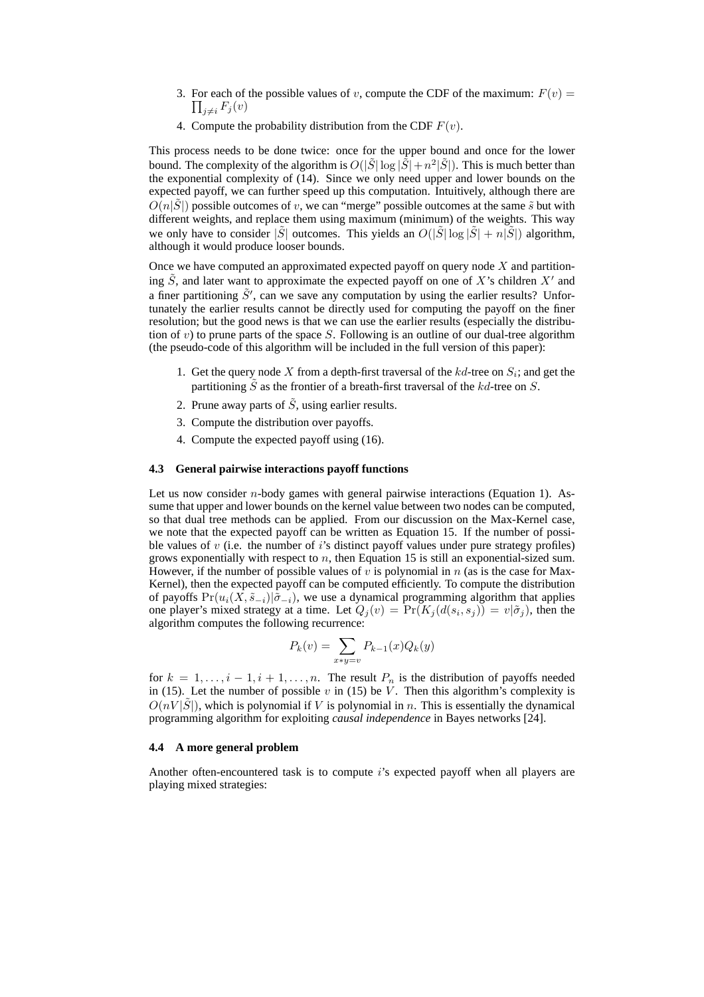- 3. For each of the possible values of v, compute the CDF of the maximum:  $F(v) = \prod_{v \in V}$  $\prod_{i \neq i} F_j (v)$
- 4. Compute the probability distribution from the CDF  $F(v)$ .

This process needs to be done twice: once for the upper bound and once for the lower bound. The complexity of the algorithm is  $O(|\tilde{S}| \log |\tilde{S}| + n^2 |\tilde{S}|)$ . This is much better than the exponential complexity of  $(14)$ . Since we only need upper and lower bounds on the expected payoff, we can further speed up this computation. Intuitively, although there are  $O(n|\tilde{S}|)$  possible outcomes of v, we can "merge" possible outcomes at the same  $\tilde{s}$  but with different weights, and replace them using maximum (minimum) of the weights. This way we only have to consider  $|\tilde{S}|$  outcomes. This yields an  $O(|\tilde{S}| \log |\tilde{S}| + n|\tilde{S}|)$  algorithm, although it would produce looser bounds.

Once we have computed an approximated expected payoff on query node  $X$  and partitioning  $\tilde{S}$ , and later want to approximate the expected payoff on one of X's children X' and a finer partitioning  $\tilde{S}$ ', can we save any computation by using the earlier results? Unfortunately the earlier results cannot be directly used for computing the payoff on the finer resolution; but the good news is that we can use the earlier results (especially the distribution of v) to prune parts of the space S. Following is an outline of our dual-tree algorithm (the pseudo-code of this algorithm will be included in the full version of this paper):

- 1. Get the query node X from a depth-first traversal of the  $kd$ -tree on  $S_i$ ; and get the partitioning  $\tilde{S}$  as the frontier of a breath-first traversal of the kd-tree on S.
- 2. Prune away parts of  $\tilde{S}$ , using earlier results.
- 3. Compute the distribution over payoffs.
- 4. Compute the expected payoff using (16).

#### **4.3 General pairwise interactions payoff functions**

Let us now consider  $n$ -body games with general pairwise interactions (Equation 1). Assume that upper and lower bounds on the kernel value between two nodes can be computed, so that dual tree methods can be applied. From our discussion on the Max-Kernel case, we note that the expected payoff can be written as Equation 15. If the number of possible values of  $v$  (i.e. the number of i's distinct payoff values under pure strategy profiles) grows exponentially with respect to  $n$ , then Equation 15 is still an exponential-sized sum. However, if the number of possible values of v is polynomial in  $n$  (as is the case for Max-Kernel), then the expected payoff can be computed efficiently. To compute the distribution of payoffs  $Pr(u_i(X, \tilde{s}_{-i})|\tilde{\sigma}_{-i})$ , we use a dynamical programming algorithm that applies one player's mixed strategy at a time. Let  $Q_j(v) = Pr(K_j(d(s_i, s_j)) = v | \tilde{\sigma}_j)$ , then the algorithm computes the following recurrence:

$$
P_k(v) = \sum_{x*y=v} P_{k-1}(x)Q_k(y)
$$

for  $k = 1, \ldots, i - 1, i + 1, \ldots, n$ . The result  $P_n$  is the distribution of payoffs needed in (15). Let the number of possible  $v$  in (15) be  $V$ . Then this algorithm's complexity is  $O(nV|\tilde{S}|)$ , which is polynomial if V is polynomial in n. This is essentially the dynamical programming algorithm for exploiting *causal independence* in Bayes networks [24].

## **4.4 A more general problem**

Another often-encountered task is to compute i's expected payoff when all players are playing mixed strategies: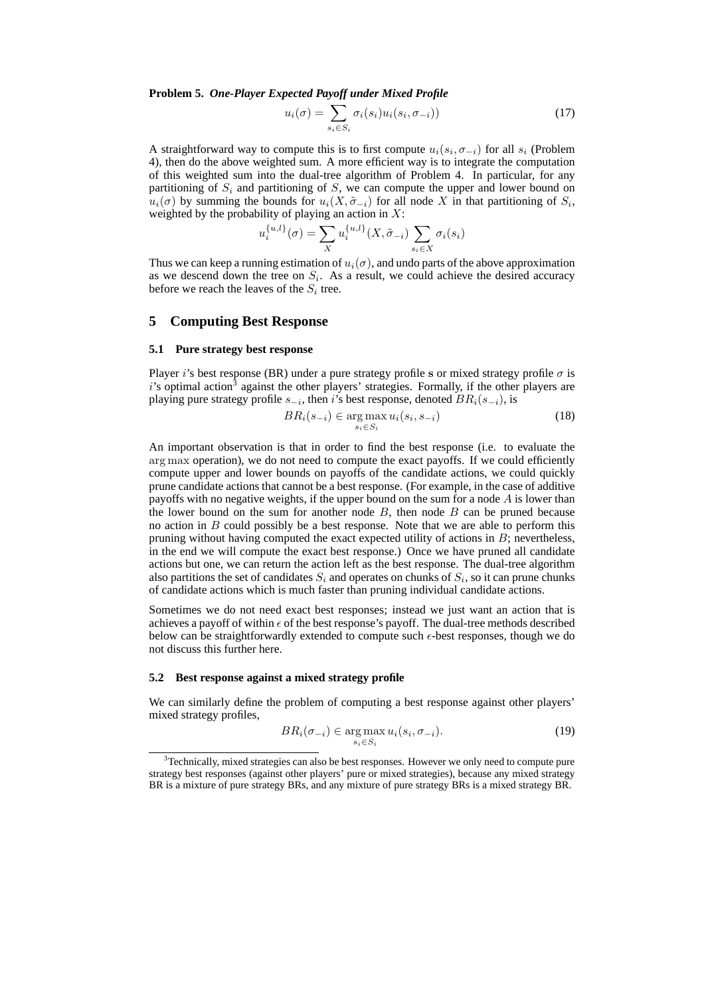**Problem 5.** One-Player Expected Payoff under Mixed Profile<br> $u_i(\sigma) = \sum_i \sigma_i(s_i) u_i(s_i, \sigma_{-i}))$ 

$$
u_i(\sigma) = \sum_{s_i \in S_i} \sigma_i(s_i) u_i(s_i, \sigma_{-i}))
$$
\n(17)

A straightforward way to compute this is to first compute  $u_i(s_i, \sigma_{-i})$  for all  $s_i$  (Problem 4), then do the above weighted sum. A more efficient way is to integrate the computation of this weighted sum into the dual-tree algorithm of Problem 4. In particular, for any partitioning of  $S_i$  and partitioning of  $S$ , we can compute the upper and lower bound on  $u_i(\sigma)$  by summing the bounds for  $u_i(X, \tilde{\sigma}_{-i})$  for all node X in that partitioning of  $S_i$ , weighted by the probability of playing an action in X:<br>  $u_i^{\{u,l\}}(\sigma) = \sum u_i^{\{u,l\}}(X, \tilde{\sigma}_{-i})$ 

$$
u_i^{\{u,l\}}(\sigma) = \sum_X u_i^{\{u,l\}}(X, \tilde{\sigma}_{-i}) \sum_{s_i \in X} \sigma_i(s_i)
$$

Thus we can keep a running estimation of  $u_i(\sigma)$ , and undo parts of the above approximation as we descend down the tree on  $S_i$ . As a result, we could achieve the desired accuracy before we reach the leaves of the  $S_i$  tree.

## **5 Computing Best Response**

#### **5.1 Pure strategy best response**

Player i's best response (BR) under a pure strategy profile s or mixed strategy profile  $\sigma$  is  $i$ 's optimal action<sup>3</sup> against the other players' strategies. Formally, if the other players are playing pure strategy profile  $s_{-i}$ , then i's best response, denoted  $BR_i(s_{-i})$ , is

$$
BR_i(s_{-i}) \in \underset{s_i \in S_i}{\text{arg max}} \, u_i(s_i, s_{-i}) \tag{18}
$$

An important observation is that in order to find the best response (i.e. to evaluate the arg max operation), we do not need to compute the exact payoffs. If we could efficiently compute upper and lower bounds on payoffs of the candidate actions, we could quickly prune candidate actions that cannot be a best response. (For example, in the case of additive payoffs with no negative weights, if the upper bound on the sum for a node  $\vec{A}$  is lower than the lower bound on the sum for another node  $B$ , then node  $B$  can be pruned because no action in  $B$  could possibly be a best response. Note that we are able to perform this pruning without having computed the exact expected utility of actions in  $B$ ; nevertheless, in the end we will compute the exact best response.) Once we have pruned all candidate actions but one, we can return the action left as the best response. The dual-tree algorithm also partitions the set of candidates  $S_i$  and operates on chunks of  $S_i$ , so it can prune chunks of candidate actions which is much faster than pruning individual candidate actions.

Sometimes we do not need exact best responses; instead we just want an action that is achieves a payoff of within  $\epsilon$  of the best response's payoff. The dual-tree methods described below can be straightforwardly extended to compute such  $\epsilon$ -best responses, though we do not discuss this further here.

#### **5.2 Best response against a mixed strategy profile**

We can similarly define the problem of computing a best response against other players' mixed strategy profiles,

$$
BR_i(\sigma_{-i}) \in \underset{s_i \in S_i}{\text{arg max}} \, u_i(s_i, \sigma_{-i}). \tag{19}
$$

 $3$ Technically, mixed strategies can also be best responses. However we only need to compute pure strategy best responses (against other players' pure or mixed strategies), because any mixed strategy BR is a mixture of pure strategy BRs, and any mixture of pure strategy BRs is a mixed strategy BR.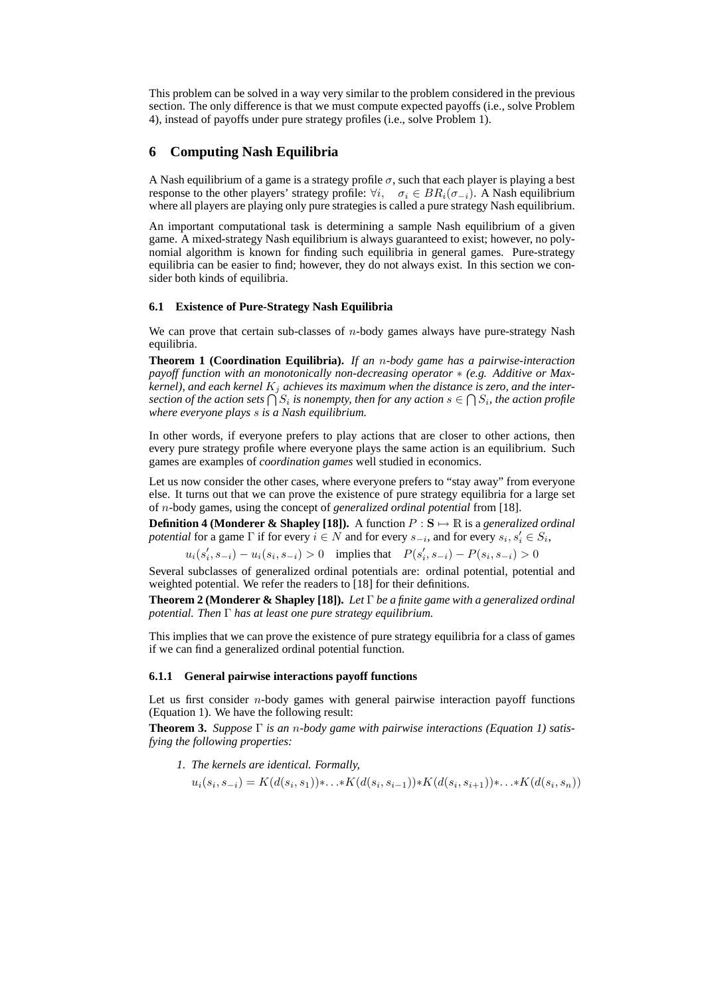This problem can be solved in a way very similar to the problem considered in the previous section. The only difference is that we must compute expected payoffs (i.e., solve Problem 4), instead of payoffs under pure strategy profiles (i.e., solve Problem 1).

# **6 Computing Nash Equilibria**

A Nash equilibrium of a game is a strategy profile  $\sigma$ , such that each player is playing a best response to the other players' strategy profile:  $\forall i, \quad \sigma_i \in BR_i(\sigma_{-i})$ . A Nash equilibrium where all players are playing only pure strategies is called a pure strategy Nash equilibrium.

An important computational task is determining a sample Nash equilibrium of a given game. A mixed-strategy Nash equilibrium is always guaranteed to exist; however, no polynomial algorithm is known for finding such equilibria in general games. Pure-strategy equilibria can be easier to find; however, they do not always exist. In this section we consider both kinds of equilibria.

## **6.1 Existence of Pure-Strategy Nash Equilibria**

We can prove that certain sub-classes of  $n$ -body games always have pure-strategy Nash equilibria.

**Theorem 1 (Coordination Equilibria).** *If an* n*-body game has a pairwise-interaction payoff function with an monotonically non-decreasing operator* ∗ *(e.g. Additive or Max*kernel), and each kernel  $K_j$  achieves its maximum when the distance is zero, and the inter*section of the ach kernel K<sub>j</sub> achieves its maximum when the distance is zero, and the inter-*<br>section of the action sets  $\bigcap S_i$  is nonempty, then for any action  $s \in \bigcap S_i$ , the action profile *where everyone plays* s *is a Nash equilibrium.*

In other words, if everyone prefers to play actions that are closer to other actions, then every pure strategy profile where everyone plays the same action is an equilibrium. Such games are examples of *coordination games* well studied in economics.

Let us now consider the other cases, where everyone prefers to "stay away" from everyone else. It turns out that we can prove the existence of pure strategy equilibria for a large set of n-body games, using the concept of *generalized ordinal potential* from [18].

**Definition 4 (Monderer & Shapley [18]).** A function  $P : S \mapsto \mathbb{R}$  is a *generalized ordinal potential* for a game  $\Gamma$  if for every  $i \in N$  and for every  $s_{-i}$ , and for every  $s_i, s'_i \in S_i$ ,

 $u_i(s'_i, s_{-i}) - u_i(s_i, s_{-i}) > 0$  implies that  $P(s'_i, s_{-i}) - P(s_i, s_{-i}) > 0$ 

Several subclasses of generalized ordinal potentials are: ordinal potential, potential and weighted potential. We refer the readers to [18] for their definitions.

**Theorem 2 (Monderer & Shapley [18]).** *Let* Γ *be a finite game with a generalized ordinal potential. Then* Γ *has at least one pure strategy equilibrium.*

This implies that we can prove the existence of pure strategy equilibria for a class of games if we can find a generalized ordinal potential function.

#### **6.1.1 General pairwise interactions payoff functions**

Let us first consider  $n$ -body games with general pairwise interaction payoff functions (Equation 1). We have the following result:

**Theorem 3.** *Suppose* Γ *is an* n*-body game with pairwise interactions (Equation 1) satisfying the following properties:*

*1. The kernels are identical. Formally,*

$$
u_i(s_i, s_{-i}) = K(d(s_i, s_1)) * \ldots * K(d(s_i, s_{i-1})) * K(d(s_i, s_{i+1})) * \ldots * K(d(s_i, s_n))
$$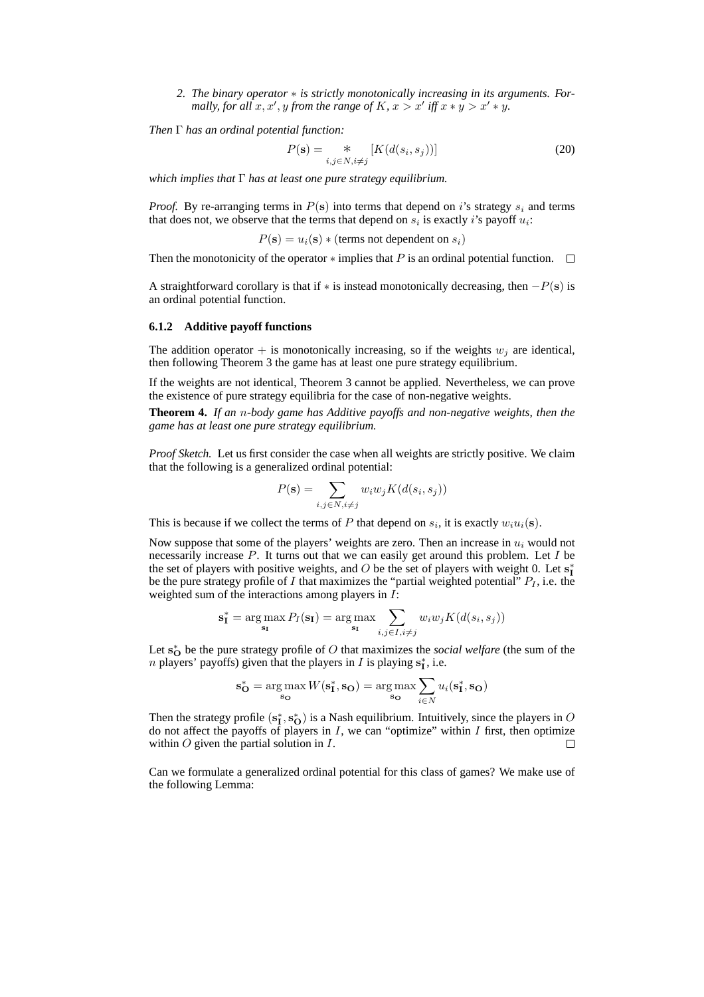2. The binary operator  $*$  is strictly monotonically increasing in its arguments. Formally, for all  $x, x', y$  from the range of  $K$ ,  $x > x'$  iff  $x * y > x' * y$ .

*Then* Γ *has an ordinal potential function:*

$$
P(\mathbf{s}) = \underset{i,j \in N, i \neq j}{*} \left[ K(d(s_i, s_j)) \right]
$$
 (20)

*which implies that* Γ *has at least one pure strategy equilibrium.*

*Proof.* By re-arranging terms in  $P(s)$  into terms that depend on i's strategy  $s_i$  and terms that does not, we observe that the terms that depend on  $s_i$  is exactly *i*'s payoff  $u_i$ :

 $P(s) = u_i(s) * (terms not dependent on s_i)$ 

Then the monotonicity of the operator  $*$  implies that P is an ordinal potential function.  $\Box$ 

A straightforward corollary is that if  $*$  is instead monotonically decreasing, then  $-P(s)$  is an ordinal potential function.

#### **6.1.2 Additive payoff functions**

The addition operator  $+$  is monotonically increasing, so if the weights  $w_i$  are identical, then following Theorem 3 the game has at least one pure strategy equilibrium.

If the weights are not identical, Theorem 3 cannot be applied. Nevertheless, we can prove the existence of pure strategy equilibria for the case of non-negative weights.

**Theorem 4.** *If an* n*-body game has Additive payoffs and non-negative weights, then the game has at least one pure strategy equilibrium.*

*Proof Sketch.* Let us first consider the case when all weights are strictly positive. We claim that the following is a generalized ordinal potential:

$$
P(\mathbf{s}) = \sum_{i,j \in N, i \neq j} w_i w_j K(d(s_i, s_j))
$$

This is because if we collect the terms of P that depend on  $s_i$ , it is exactly  $w_i u_i(\mathbf{s})$ .

Now suppose that some of the players' weights are zero. Then an increase in  $u_i$  would not necessarily increase  $P$ . It turns out that we can easily get around this problem. Let  $I$  be the set of players with positive weights, and O be the set of players with weight 0. Let  $s_I^*$ be the pure strategy profile of I that maximizes the "partial weighted potential"  $P_I$ , i.e. the weighted sum of the interactions among players in I:

$$
\mathbf{s}_{\mathbf{I}}^* = \arg \max_{\mathbf{s}_{\mathbf{I}}} P_I(\mathbf{s}_{\mathbf{I}}) = \arg \max_{\mathbf{s}_{\mathbf{I}}} \sum_{i,j \in I, i \neq j} w_i w_j K(d(s_i, s_j))
$$

Let s<sup>\*</sup><sub>O</sub> be the pure strategy profile of O that maximizes the *social welfare* (the sum of the *n* players' payoffs) given that the players in *I* is playing  $s_I^*$ , i.e.

$$
\mathbf{s}_{\mathbf{O}}^* = \underset{\mathbf{s}_{\mathbf{O}}}{\arg\max} W(\mathbf{s}_{\mathbf{I}}^*, \mathbf{s}_{\mathbf{O}}) = \underset{\mathbf{s}_{\mathbf{O}}}{\arg\max} \sum_{i \in N} u_i(\mathbf{s}_{\mathbf{I}}^*, \mathbf{s}_{\mathbf{O}})
$$

Then the strategy profile  $(s_I^*, s_O^*)$  is a Nash equilibrium. Intuitively, since the players in O do not affect the payoffs of players in  $I$ , we can "optimize" within  $I$  first, then optimize within  $O$  given the partial solution in  $I$ . П

Can we formulate a generalized ordinal potential for this class of games? We make use of the following Lemma: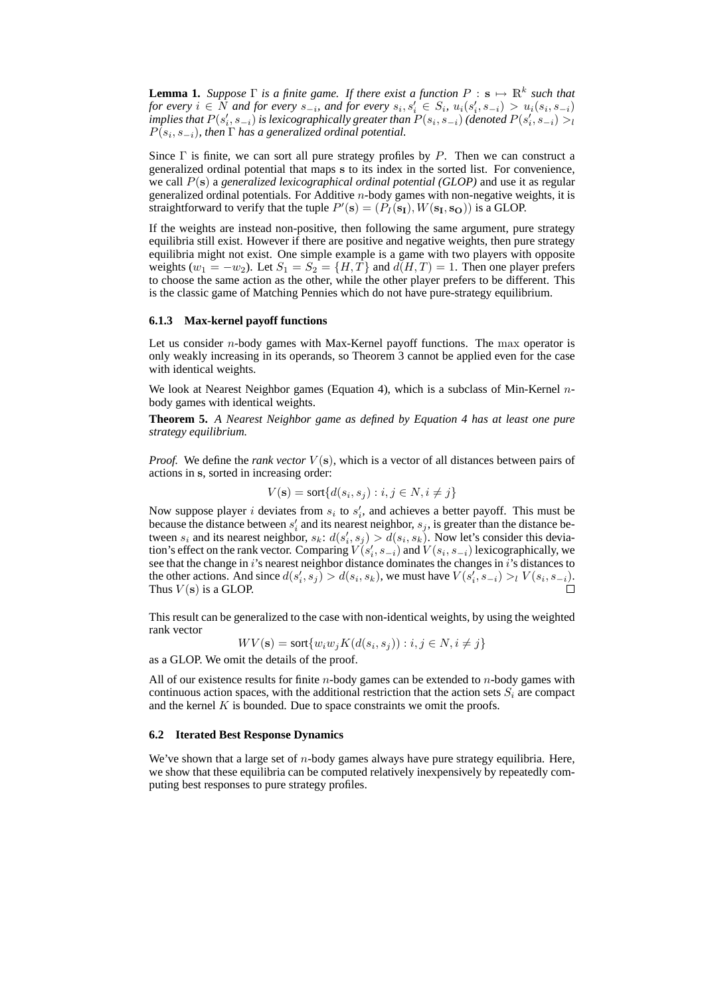**Lemma 1.** Suppose  $\Gamma$  is a finite game. If there exist a function  $P : \mathbf{s} \mapsto \mathbb{R}^k$  such that *for every*  $i \in \hat{N}$  and for every  $s_{-i}$ , and for every  $s_i, s'_i \in S_i$ ,  $u_i(s'_i, s_{-i}) > u_i(s_i, s_{-i})$ implies that  $P(s_i', s_{-i})$  is lexicographically greater than  $P(s_i, s_{-i})$   $(d$ enoted  $P(s_i', s_{-i})>_{l}$  $P(s_i, s_{-i})$ , then  $\Gamma$  has a generalized ordinal potential.

Since  $\Gamma$  is finite, we can sort all pure strategy profiles by P. Then we can construct a generalized ordinal potential that maps s to its index in the sorted list. For convenience, we call P(s) a *generalized lexicographical ordinal potential (GLOP)* and use it as regular generalized ordinal potentials. For Additive  $n$ -body games with non-negative weights, it is straightforward to verify that the tuple  $P'(\mathbf{s}) = (P_I(\mathbf{s_I}), W(\mathbf{s_I}, \mathbf{s_O}))$  is a GLOP.

If the weights are instead non-positive, then following the same argument, pure strategy equilibria still exist. However if there are positive and negative weights, then pure strategy equilibria might not exist. One simple example is a game with two players with opposite weights ( $w_1 = -w_2$ ). Let  $S_1 = S_2 = \{H, T\}$  and  $d(H, T) = 1$ . Then one player prefers to choose the same action as the other, while the other player prefers to be different. This is the classic game of Matching Pennies which do not have pure-strategy equilibrium.

#### **6.1.3 Max-kernel payoff functions**

Let us consider *n*-body games with Max-Kernel payoff functions. The max operator is only weakly increasing in its operands, so Theorem 3 cannot be applied even for the case with identical weights.

We look at Nearest Neighbor games (Equation 4), which is a subclass of Min-Kernel  $n$ body games with identical weights.

**Theorem 5.** *A Nearest Neighbor game as defined by Equation 4 has at least one pure strategy equilibrium.*

*Proof.* We define the *rank vector*  $V(s)$ , which is a vector of all distances between pairs of actions in s, sorted in increasing order:

$$
V(\mathbf{s}) = \text{sort}\{d(s_i, s_j) : i, j \in N, i \neq j\}
$$

Now suppose player i deviates from  $s_i$  to  $s'_i$ , and achieves a better payoff. This must be because the distance between  $s_i$  and its nearest neighbor,  $s_j$ , is greater than the distance between  $s_i$  and its nearest neighbor,  $s_k: d(s'_i, s_j) > d(s_i, s_k)$ . Now let's consider this deviation's effect on the rank vector. Comparing  $V(s'_i, s_{-i})$  and  $V(s_i, s_{-i})$  lexicographically, we see that the change in i's nearest neighbor distance dominates the changes in i's distances to the other actions. And since  $d(s'_i, s_j) > d(s_i, s_k)$ , we must have  $V(s'_i, s_{-i}) >_l V(s_i, s_{-i})$ . Thus  $V(\mathbf{s})$  is a GLOP.

This result can be generalized to the case with non-identical weights, by using the weighted rank vector

$$
WV(\mathbf{s}) = \text{sort}\{w_i w_j K(d(s_i, s_j)) : i, j \in N, i \neq j\}
$$

as a GLOP. We omit the details of the proof.

All of our existence results for finite  $n$ -body games can be extended to  $n$ -body games with continuous action spaces, with the additional restriction that the action sets  $S_i$  are compact and the kernel  $K$  is bounded. Due to space constraints we omit the proofs.

#### **6.2 Iterated Best Response Dynamics**

We've shown that a large set of *n*-body games always have pure strategy equilibria. Here, we show that these equilibria can be computed relatively inexpensively by repeatedly computing best responses to pure strategy profiles.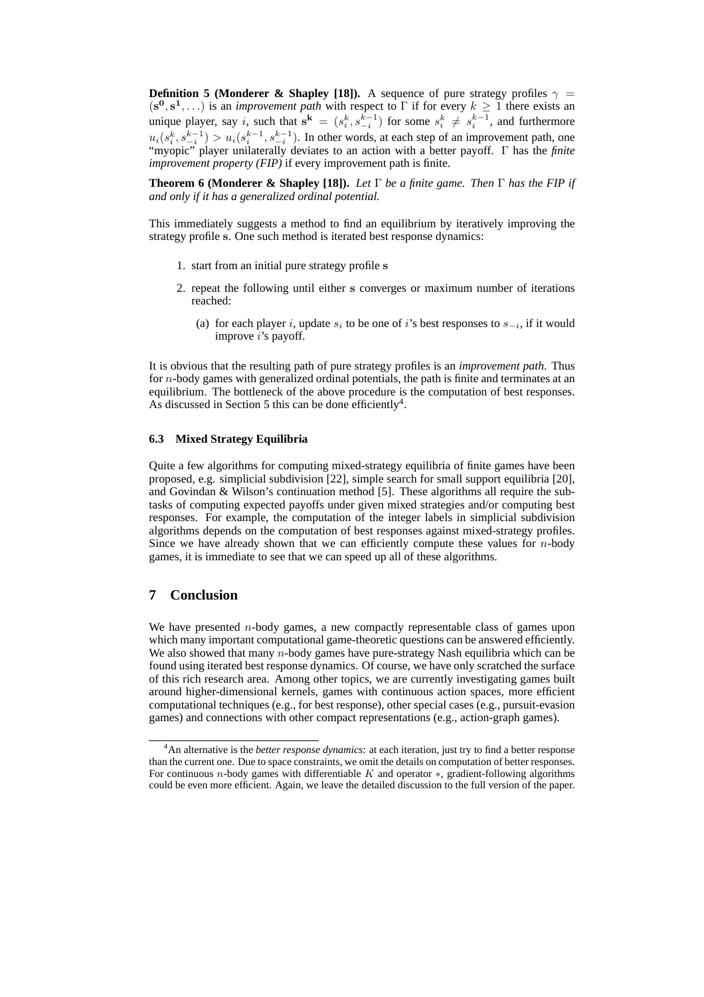**Definition 5 (Monderer & Shapley [18]).** A sequence of pure strategy profiles  $\gamma$  =  $(s^0, s^1, \ldots)$  is an *improvement path* with respect to Γ if for every  $k \geq 1$  there exists an unique player, say i, such that  $s^k = (s_i^k, s_{-i}^{k-1})$  for some  $s_i^k \neq s_i^{k-1}$ , and furthermore  $u_i(s_i^k, s_{-i}^{k-1}) > u_i(s_i^{k-1}, s_{-i}^{k-1})$ . In other words, at each step of an improvement path, one "myopic" player unilaterally deviates to an action with a better payoff. Γ has the *finite improvement property (FIP)* if every improvement path is finite.

**Theorem 6 (Monderer & Shapley [18]).** *Let* Γ *be a finite game. Then* Γ *has the FIP if and only if it has a generalized ordinal potential.*

This immediately suggests a method to find an equilibrium by iteratively improving the strategy profile s. One such method is iterated best response dynamics:

- 1. start from an initial pure strategy profile s
- 2. repeat the following until either s converges or maximum number of iterations reached:
	- (a) for each player i, update  $s_i$  to be one of i's best responses to  $s_{-i}$ , if it would improve *i*'s payoff.

It is obvious that the resulting path of pure strategy profiles is an *improvement path*. Thus for n-body games with generalized ordinal potentials, the path is finite and terminates at an equilibrium. The bottleneck of the above procedure is the computation of best responses. As discussed in Section 5 this can be done efficiently<sup>4</sup>.

# **6.3 Mixed Strategy Equilibria**

Quite a few algorithms for computing mixed-strategy equilibria of finite games have been proposed, e.g. simplicial subdivision [22], simple search for small support equilibria [20], and Govindan & Wilson's continuation method [5]. These algorithms all require the subtasks of computing expected payoffs under given mixed strategies and/or computing best responses. For example, the computation of the integer labels in simplicial subdivision algorithms depends on the computation of best responses against mixed-strategy profiles. Since we have already shown that we can efficiently compute these values for  $n$ -body games, it is immediate to see that we can speed up all of these algorithms.

# **7 Conclusion**

We have presented  $n$ -body games, a new compactly representable class of games upon which many important computational game-theoretic questions can be answered efficiently. We also showed that many *n*-body games have pure-strategy Nash equilibria which can be found using iterated best response dynamics. Of course, we have only scratched the surface of this rich research area. Among other topics, we are currently investigating games built around higher-dimensional kernels, games with continuous action spaces, more efficient computational techniques (e.g., for best response), other special cases (e.g., pursuit-evasion games) and connections with other compact representations (e.g., action-graph games).

<sup>4</sup>An alternative is the *better response dynamics*: at each iteration, just try to find a better response than the current one. Due to space constraints, we omit the details on computation of better responses. For continuous n-body games with differentiable K and operator ∗, gradient-following algorithms could be even more efficient. Again, we leave the detailed discussion to the full version of the paper.